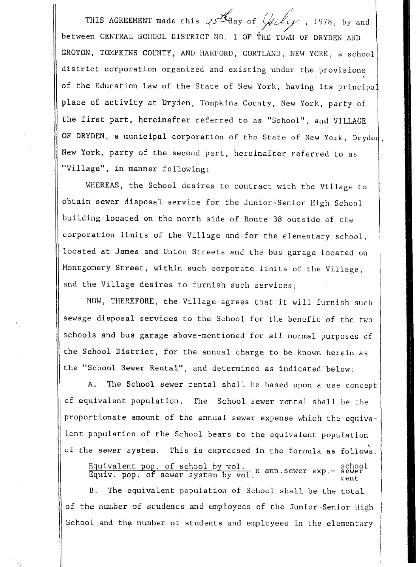THIS AGREEMENT made this  $\sqrt[3]{4}$  day of  $\sqrt[3]{4}$  ( $\ell$ between CENTRAL SCHOOL DISTRICT NO. 1 OF THE TOWN OF DRYDEN AND GROTON, TOMPKINS COUNTY, AND HARFORD, CORTLAND, NEW YORK, a school district corporation organized and existing under the provisions of the Education Law of the State of New York, having its principal lace of activity at Dryden, Tompkins County, New York, party of the first part, hereinafter referred to as "School", and VILLAGE OF DRYDEN, a municipal corporation of the State of New York, Dryden, lew **York,** party of the second part, hereinafter referred to as Village", in manner following:

WHEREAS, the School desires to contract with the Village to obtain sewer disposal service for the Junior-Senior High School building located on the north side of Route 38 outside of the iorporation limits of the Village and for the elementary **school,**  located at James and Union Streets and the bus garage located on Montgomery Street, within such corporate limits of the Village, and the Village desires to furnish such services;

**NOW,** THEREFORE, the Village agrees that it will furnish such sewage disposal services to the School for the benefit of the two schools and bus garage above-mentioned for all normal purposes of :he **School** District, for the annual charge to be known herein as the "School Sewer Rental", and determined as indicated below:

**A.** The School sewer rental shall be based upon a use concep of equivalent population. The School sewer rental shall be the proportionate amount of the annual sewer expense which the equivalent population of the School bears to the equivalent population 2f the sewer system. **This** is expressed in the **formula** aa follows *<sup>h</sup>*

Equivalent pop. of school by vol.<br>Equiv. pop. of sewer system by vol. x ann.sewer exp.= sewer<br>rent

B. The equivalent population of School shall be the total of the number of students and employees of the Junior-Senior High School and the number of students and employees in the elementary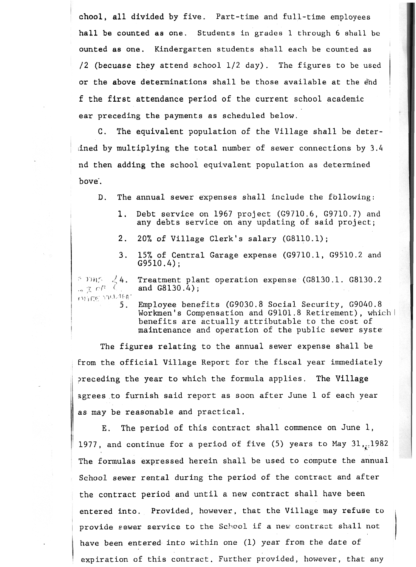**chool, all** divided by five. Part-time and full-time employees hall be counted **as** one. Students in **grades** 1 through 6 shull be ounted **as** one. Kindergarten students shall each be counted as **/2** (becuase they attend school 1/2 day). The figures to be used or the above determinations shall be those available at the end f the first attendance period of the current school academic ear preceding the payments as scheduled below.

C. The equivalent population of the Village shall be deterlined by multiplying the total number of sewer connections by *3.4*  nd then adding the school equivalent population as determined bove.

D. The annual sewer expenses shall include the following:

- **1.**  Debt service on 1967 project (G9710.6, G9710.7) and any debts service on any updating of said project;
- 2. 20% of Village Clerk's salary (G8110.1);
- **3.**  15% of Central Garage expense (G9710.1, G9510.2 and G9510.4);

Treatment plant operation expense (G8130.1. G8130.2 ミ 丁丹氏  $\frac{1}{2}$ 4.  $-205$ and *G8130.4)* ; **MIRE YILLIFET** 5.

Employee benefits (G9030.8 Social Security, G9040.8 Workmen's Compensation and G9101.8 Retirement), which | benefits are actually attributable to the cost of maintenance and operation of the public sewer syste

The figures relating to the annual sewer expense shall be from the official Village Report for the fiscal year immediately preceding the year to which the formula applies. The Village agrees to furnish said report as soon after June **1** of each year as *may* be reasonable and practical.

E. The period of this contract shall commence on June 1, 1977, and continue for a period of five (5) years to May  $31_{11}$ , 1982 The formulas expressed herein shall be used to compute the annual School sewer rental during the period of the contract and after the contract period and until a new contract shall have been entered into. Provided, however, that the Village may refuse to provide sewer service to the School if a new contract shall not have **been** entered into within one (1) year from the date of expiration of this contract. Further provided, however, that any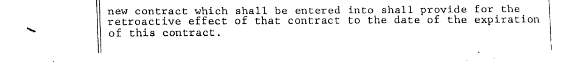

I I